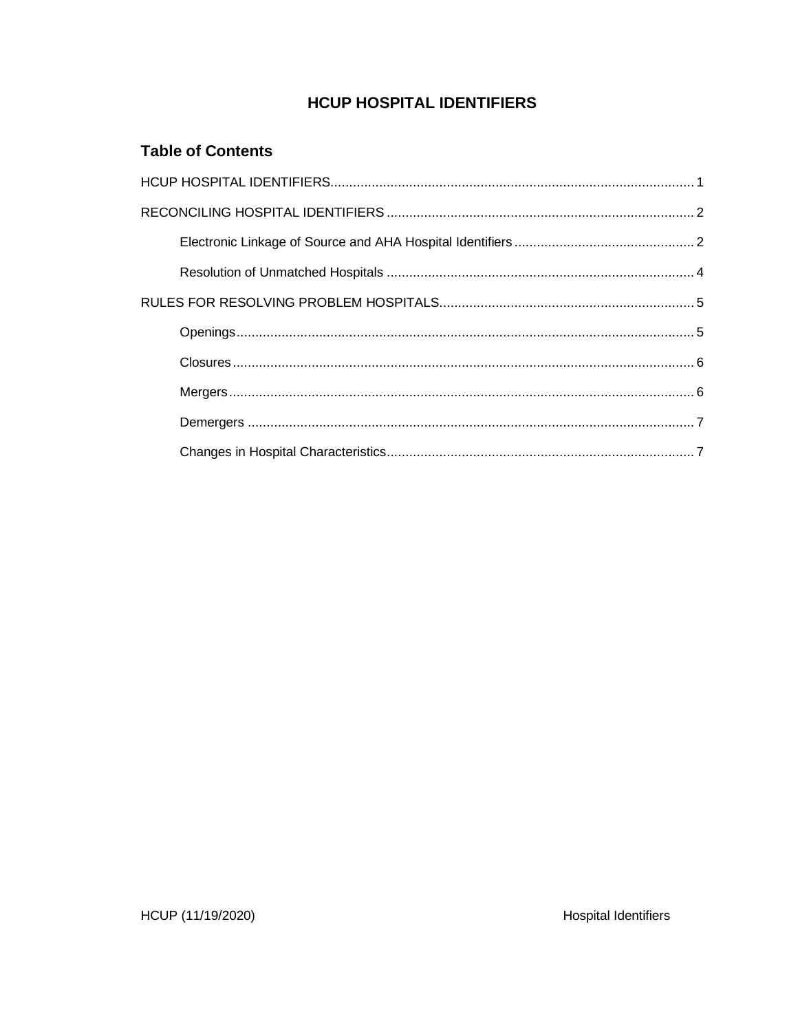# **HCUP HOSPITAL IDENTIFIERS**

# **Table of Contents**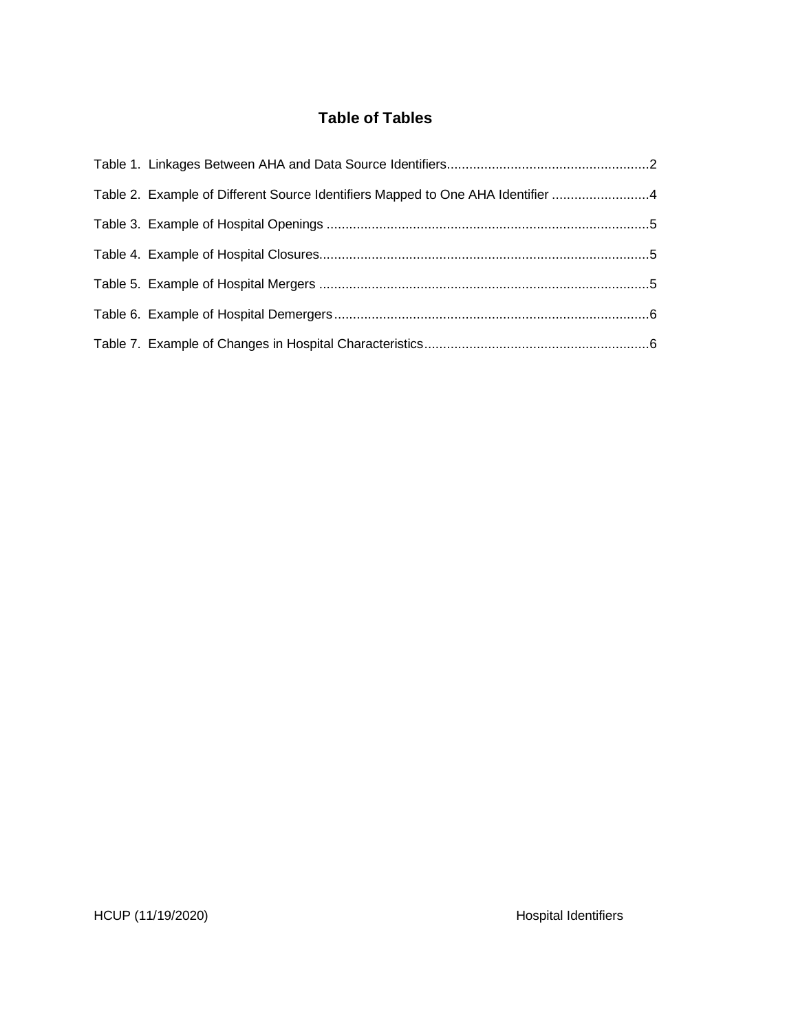# **Table of Tables**

| Table 2. Example of Different Source Identifiers Mapped to One AHA Identifier 4 |  |
|---------------------------------------------------------------------------------|--|
|                                                                                 |  |
|                                                                                 |  |
|                                                                                 |  |
|                                                                                 |  |
|                                                                                 |  |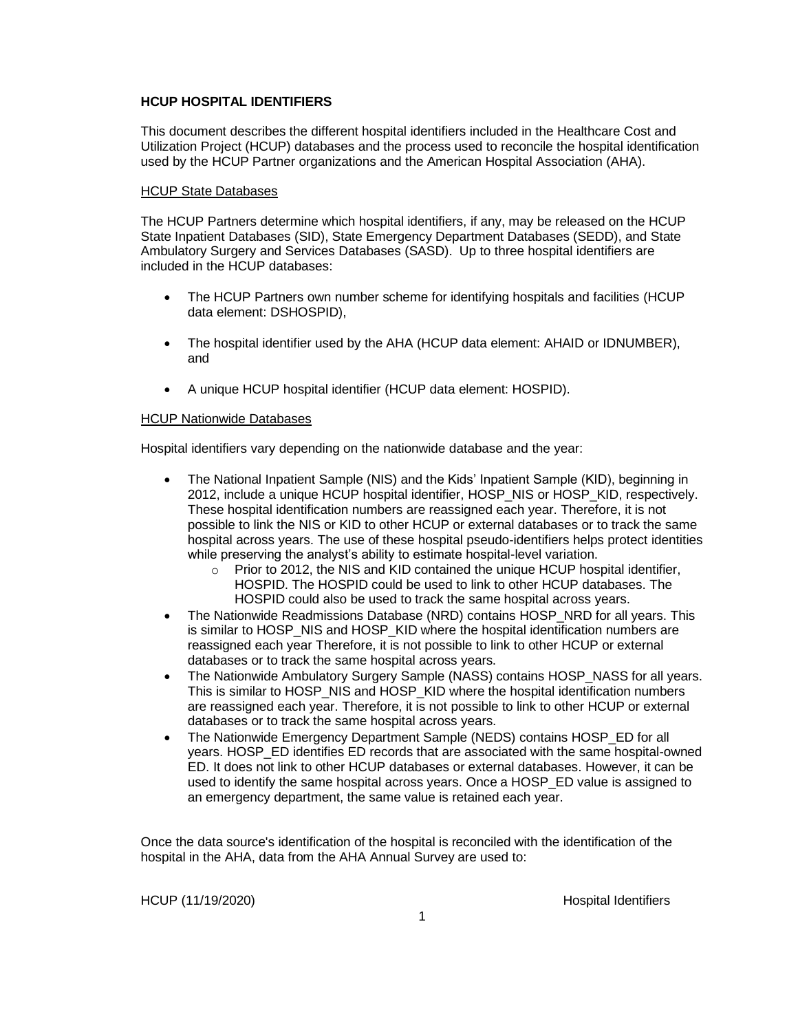### **HCUP HOSPITAL IDENTIFIERS**

This document describes the different hospital identifiers included in the Healthcare Cost and Utilization Project (HCUP) databases and the process used to reconcile the hospital identification used by the HCUP Partner organizations and the American Hospital Association (AHA).

### HCUP State Databases

The HCUP Partners determine which hospital identifiers, if any, may be released on the HCUP State Inpatient Databases (SID), State Emergency Department Databases (SEDD), and State Ambulatory Surgery and Services Databases (SASD). Up to three hospital identifiers are included in the HCUP databases:

- The HCUP Partners own number scheme for identifying hospitals and facilities (HCUP data element: DSHOSPID),
- The hospital identifier used by the AHA (HCUP data element: AHAID or IDNUMBER), and
- A unique HCUP hospital identifier (HCUP data element: HOSPID).

### HCUP Nationwide Databases

Hospital identifiers vary depending on the nationwide database and the year:

- The National Inpatient Sample (NIS) and the Kids' Inpatient Sample (KID), beginning in 2012, include a unique HCUP hospital identifier, HOSP\_NIS or HOSP\_KID, respectively. These hospital identification numbers are reassigned each year. Therefore, it is not possible to link the NIS or KID to other HCUP or external databases or to track the same hospital across years. The use of these hospital pseudo-identifiers helps protect identities while preserving the analyst's ability to estimate hospital-level variation.
	- $\circ$  Prior to 2012, the NIS and KID contained the unique HCUP hospital identifier, HOSPID. The HOSPID could be used to link to other HCUP databases. The HOSPID could also be used to track the same hospital across years.
- The Nationwide Readmissions Database (NRD) contains HOSP\_NRD for all years. This is similar to HOSP\_NIS and HOSP\_KID where the hospital identification numbers are reassigned each year Therefore, it is not possible to link to other HCUP or external databases or to track the same hospital across years.
- The Nationwide Ambulatory Surgery Sample (NASS) contains HOSP\_NASS for all years. This is similar to HOSP\_NIS and HOSP\_KID where the hospital identification numbers are reassigned each year. Therefore, it is not possible to link to other HCUP or external databases or to track the same hospital across years.
- The Nationwide Emergency Department Sample (NEDS) contains HOSP\_ED for all years. HOSP\_ED identifies ED records that are associated with the same hospital-owned ED. It does not link to other HCUP databases or external databases. However, it can be used to identify the same hospital across years. Once a HOSP\_ED value is assigned to an emergency department, the same value is retained each year.

Once the data source's identification of the hospital is reconciled with the identification of the hospital in the AHA, data from the AHA Annual Survey are used to: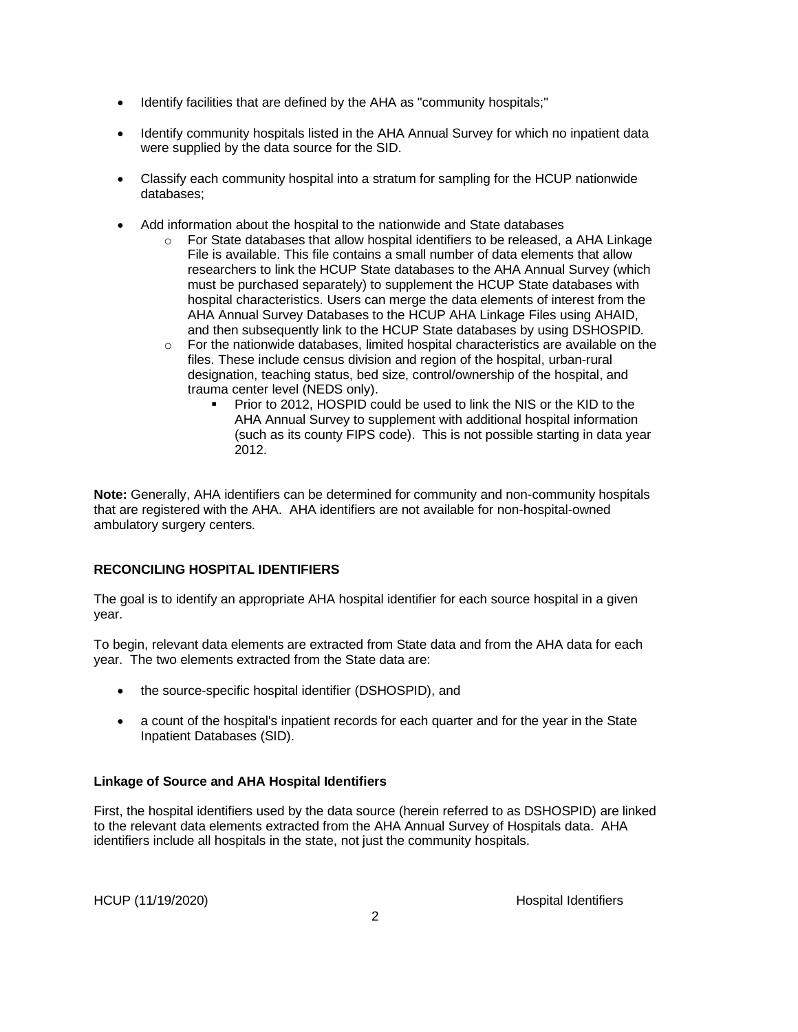- Identify facilities that are defined by the AHA as "community hospitals;"
- Identify community hospitals listed in the AHA Annual Survey for which no inpatient data were supplied by the data source for the SID.
- Classify each community hospital into a stratum for sampling for the HCUP nationwide databases;
- Add information about the hospital to the nationwide and State databases
	- $\circ$  For State databases that allow hospital identifiers to be released, a AHA Linkage File is available. This file contains a small number of data elements that allow researchers to link the HCUP State databases to the AHA Annual Survey (which must be purchased separately) to supplement the HCUP State databases with hospital characteristics. Users can merge the data elements of interest from the AHA Annual Survey Databases to the HCUP AHA Linkage Files using AHAID, and then subsequently link to the HCUP State databases by using DSHOSPID.
	- $\circ$  For the nationwide databases, limited hospital characteristics are available on the files. These include census division and region of the hospital, urban-rural designation, teaching status, bed size, control/ownership of the hospital, and trauma center level (NEDS only).
		- Prior to 2012, HOSPID could be used to link the NIS or the KID to the AHA Annual Survey to supplement with additional hospital information (such as its county FIPS code). This is not possible starting in data year 2012.

**Note:** Generally, AHA identifiers can be determined for community and non-community hospitals that are registered with the AHA. AHA identifiers are not available for non-hospital-owned ambulatory surgery centers.

## **RECONCILING HOSPITAL IDENTIFIERS**

The goal is to identify an appropriate AHA hospital identifier for each source hospital in a given year.

To begin, relevant data elements are extracted from State data and from the AHA data for each year. The two elements extracted from the State data are:

- the source-specific hospital identifier (DSHOSPID), and
- a count of the hospital's inpatient records for each quarter and for the year in the State Inpatient Databases (SID).

## **Linkage of Source and AHA Hospital Identifiers**

First, the hospital identifiers used by the data source (herein referred to as DSHOSPID) are linked to the relevant data elements extracted from the AHA Annual Survey of Hospitals data. AHA identifiers include all hospitals in the state, not just the community hospitals.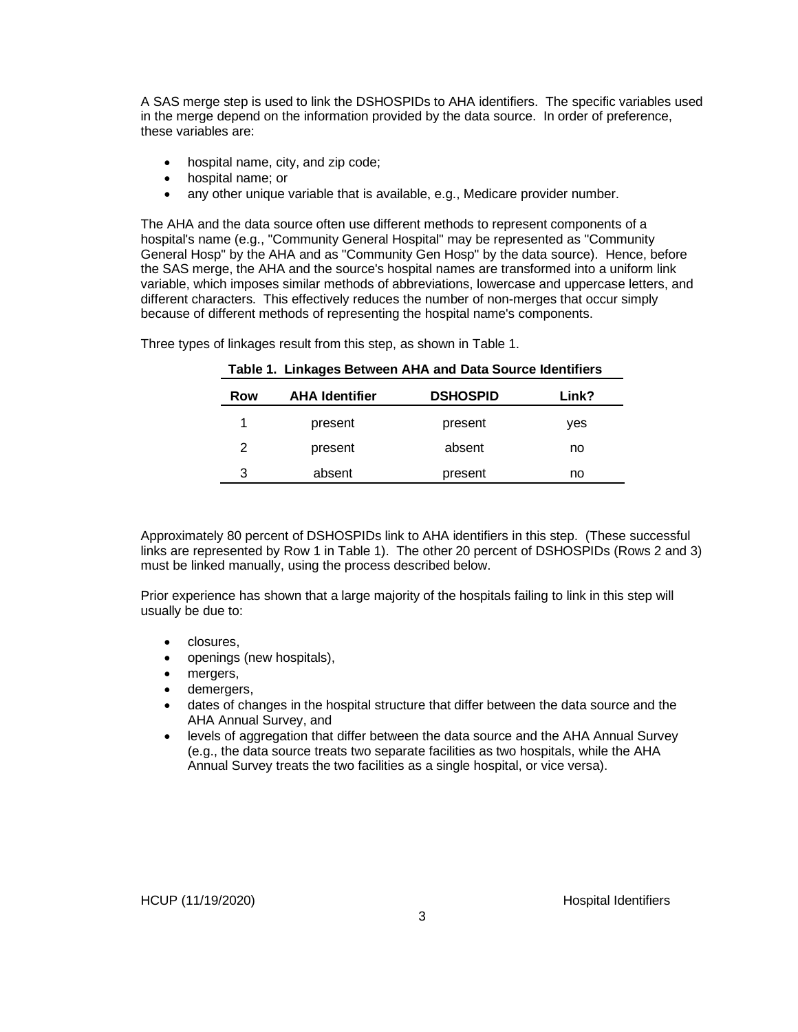A SAS merge step is used to link the DSHOSPIDs to AHA identifiers. The specific variables used in the merge depend on the information provided by the data source. In order of preference, these variables are:

- hospital name, city, and zip code;
- hospital name; or
- any other unique variable that is available, e.g., Medicare provider number.

The AHA and the data source often use different methods to represent components of a hospital's name (e.g., "Community General Hospital" may be represented as "Community General Hosp" by the AHA and as "Community Gen Hosp" by the data source). Hence, before the SAS merge, the AHA and the source's hospital names are transformed into a uniform link variable, which imposes similar methods of abbreviations, lowercase and uppercase letters, and different characters. This effectively reduces the number of non-merges that occur simply because of different methods of representing the hospital name's components.

| Row | <b>AHA Identifier</b> | <b>DSHOSPID</b> | Link? |
|-----|-----------------------|-----------------|-------|
| 1   | present               | present         | ves   |
| 2   | present               | absent          | no    |
| 3   | absent                | present         | no    |

**Table 1. Linkages Between AHA and Data Source Identifiers**

Three types of linkages result from this step, as shown in Table 1.

Approximately 80 percent of DSHOSPIDs link to AHA identifiers in this step. (These successful links are represented by Row 1 in Table 1). The other 20 percent of DSHOSPIDs (Rows 2 and 3) must be linked manually, using the process described below.

Prior experience has shown that a large majority of the hospitals failing to link in this step will usually be due to:

- closures,
- openings (new hospitals),
- mergers,
- demergers,
- dates of changes in the hospital structure that differ between the data source and the AHA Annual Survey, and
- levels of aggregation that differ between the data source and the AHA Annual Survey (e.g., the data source treats two separate facilities as two hospitals, while the AHA Annual Survey treats the two facilities as a single hospital, or vice versa).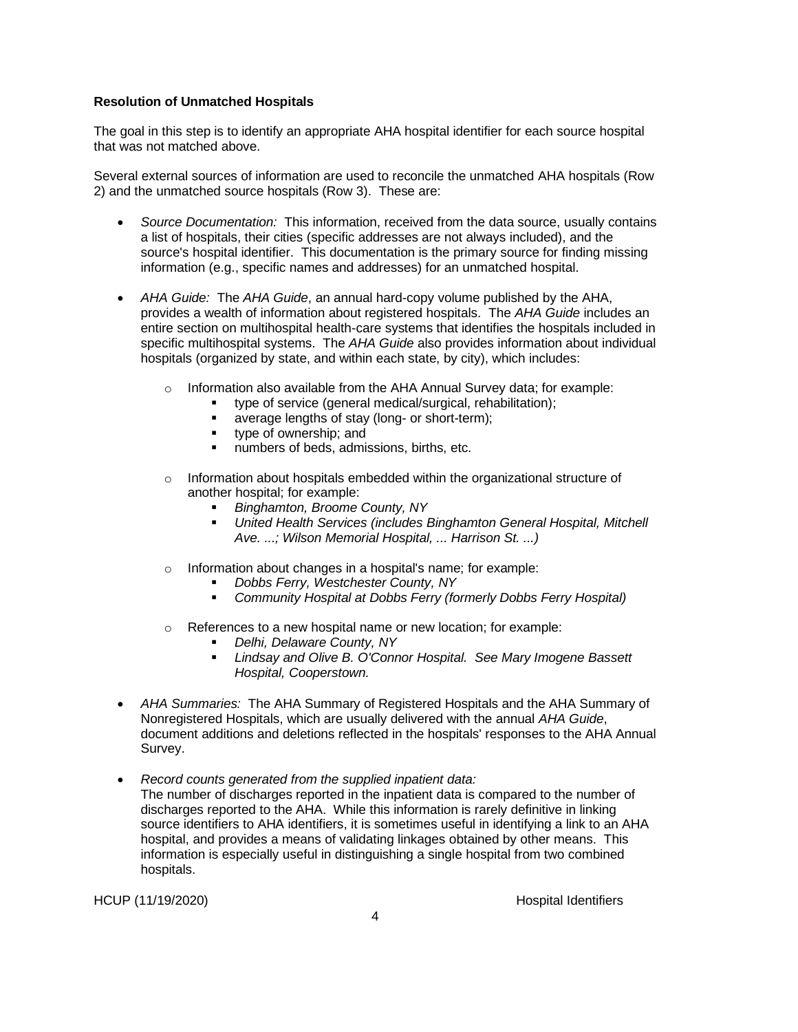#### **Resolution of Unmatched Hospitals**

The goal in this step is to identify an appropriate AHA hospital identifier for each source hospital that was not matched above.

Several external sources of information are used to reconcile the unmatched AHA hospitals (Row 2) and the unmatched source hospitals (Row 3). These are:

- *Source Documentation:* This information, received from the data source, usually contains a list of hospitals, their cities (specific addresses are not always included), and the source's hospital identifier. This documentation is the primary source for finding missing information (e.g., specific names and addresses) for an unmatched hospital.
- *AHA Guide:* The *AHA Guide*, an annual hard-copy volume published by the AHA, provides a wealth of information about registered hospitals. The *AHA Guide* includes an entire section on multihospital health-care systems that identifies the hospitals included in specific multihospital systems. The *AHA Guide* also provides information about individual hospitals (organized by state, and within each state, by city), which includes:
	- o Information also available from the AHA Annual Survey data; for example:
		- type of service (general medical/surgical, rehabilitation);
		- average lengths of stay (long- or short-term);
		- type of ownership: and
		- numbers of beds, admissions, births, etc.
	- $\circ$  Information about hospitals embedded within the organizational structure of another hospital; for example:
		- *Binghamton, Broome County, NY*
		- *United Health Services (includes Binghamton General Hospital, Mitchell Ave. ...; Wilson Memorial Hospital, ... Harrison St. ...)*
	- o Information about changes in a hospital's name; for example:
		- *Dobbs Ferry, Westchester County, NY*
		- *Community Hospital at Dobbs Ferry (formerly Dobbs Ferry Hospital)*
	- o References to a new hospital name or new location; for example:
		- *Delhi, Delaware County, NY*
		- *Lindsay and Olive B. O'Connor Hospital. See Mary Imogene Bassett Hospital, Cooperstown.*
- *AHA Summaries:* The AHA Summary of Registered Hospitals and the AHA Summary of Nonregistered Hospitals, which are usually delivered with the annual *AHA Guide*, document additions and deletions reflected in the hospitals' responses to the AHA Annual Survey.
- *Record counts generated from the supplied inpatient data:* The number of discharges reported in the inpatient data is compared to the number of discharges reported to the AHA. While this information is rarely definitive in linking source identifiers to AHA identifiers, it is sometimes useful in identifying a link to an AHA hospital, and provides a means of validating linkages obtained by other means. This information is especially useful in distinguishing a single hospital from two combined hospitals.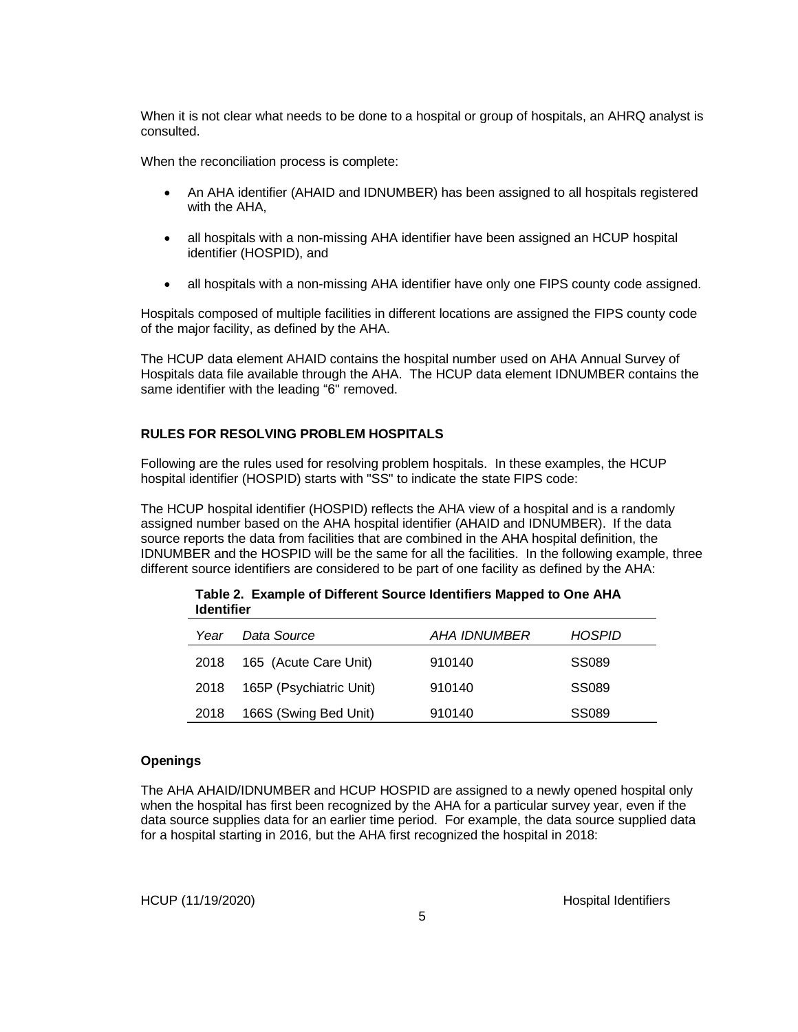When it is not clear what needs to be done to a hospital or group of hospitals, an AHRQ analyst is consulted.

When the reconciliation process is complete:

- An AHA identifier (AHAID and IDNUMBER) has been assigned to all hospitals registered with the AHA,
- all hospitals with a non-missing AHA identifier have been assigned an HCUP hospital identifier (HOSPID), and
- all hospitals with a non-missing AHA identifier have only one FIPS county code assigned.

Hospitals composed of multiple facilities in different locations are assigned the FIPS county code of the major facility, as defined by the AHA.

The HCUP data element AHAID contains the hospital number used on AHA Annual Survey of Hospitals data file available through the AHA. The HCUP data element IDNUMBER contains the same identifier with the leading "6" removed.

#### **RULES FOR RESOLVING PROBLEM HOSPITALS**

Following are the rules used for resolving problem hospitals. In these examples, the HCUP hospital identifier (HOSPID) starts with "SS" to indicate the state FIPS code:

The HCUP hospital identifier (HOSPID) reflects the AHA view of a hospital and is a randomly assigned number based on the AHA hospital identifier (AHAID and IDNUMBER). If the data source reports the data from facilities that are combined in the AHA hospital definition, the IDNUMBER and the HOSPID will be the same for all the facilities. In the following example, three different source identifiers are considered to be part of one facility as defined by the AHA:

|      | <u>identiner</u>        |              |        |  |  |
|------|-------------------------|--------------|--------|--|--|
| Year | Data Source             | AHA IDNUMBER | HOSPID |  |  |
| 2018 | 165 (Acute Care Unit)   | 910140       | SS089  |  |  |
| 2018 | 165P (Psychiatric Unit) | 910140       | SS089  |  |  |
| 2018 | 166S (Swing Bed Unit)   | 910140       | SS089  |  |  |

**Table 2. Example of Different Source Identifiers Mapped to One AHA Identifier**

#### **Openings**

The AHA AHAID/IDNUMBER and HCUP HOSPID are assigned to a newly opened hospital only when the hospital has first been recognized by the AHA for a particular survey year, even if the data source supplies data for an earlier time period. For example, the data source supplied data for a hospital starting in 2016, but the AHA first recognized the hospital in 2018: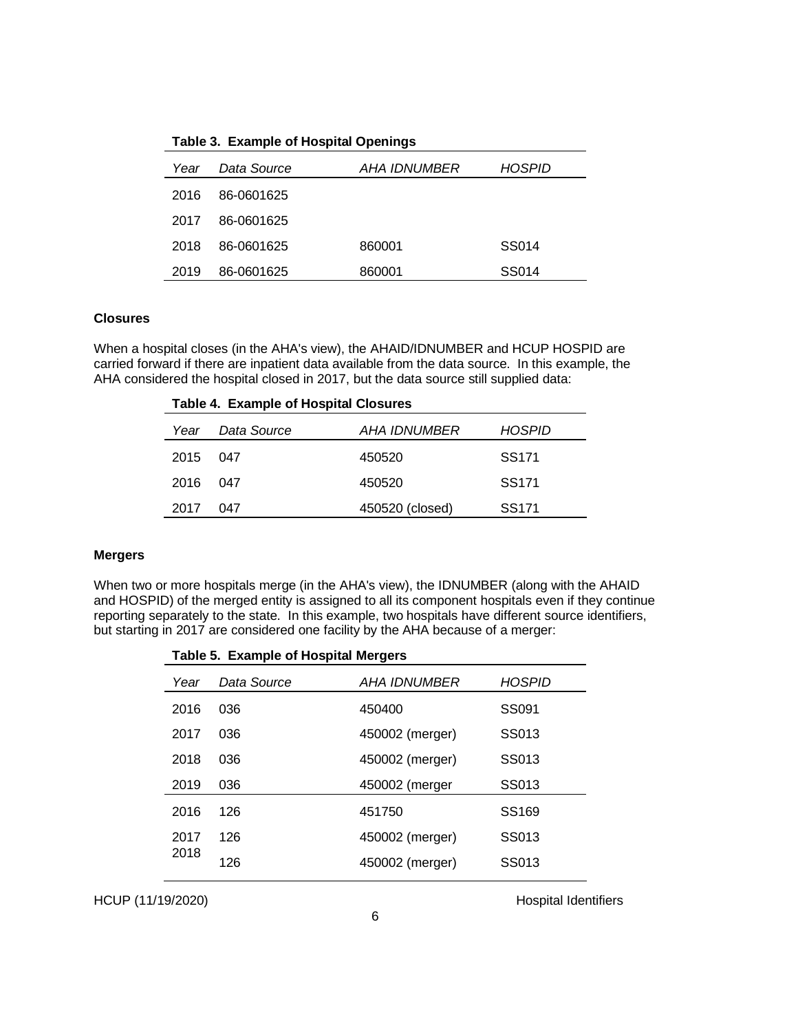| Year | Data Source | <i>AHA IDNUMBER</i> | <b>HOSPID</b> |
|------|-------------|---------------------|---------------|
| 2016 | 86-0601625  |                     |               |
| 2017 | 86-0601625  |                     |               |
| 2018 | 86-0601625  | 860001              | SS014         |
| 2019 | 86-0601625  | 860001              | SS014         |

**Table 3. Example of Hospital Openings**

#### **Closures**

When a hospital closes (in the AHA's view), the AHAID/IDNUMBER and HCUP HOSPID are carried forward if there are inpatient data available from the data source. In this example, the AHA considered the hospital closed in 2017, but the data source still supplied data:

| <b>Table 4. Example of Hospital Closures</b> |             |                     |                   |  |  |
|----------------------------------------------|-------------|---------------------|-------------------|--|--|
| Year                                         | Data Source | <i>AHA IDNUMBER</i> | HOSPID            |  |  |
| 2015                                         | 047         | 450520              | SS <sub>171</sub> |  |  |
| 2016                                         | 047         | 450520              | SS <sub>171</sub> |  |  |
| 2017                                         | 047         | 450520 (closed)     | SS <sub>171</sub> |  |  |

#### **Mergers**

When two or more hospitals merge (in the AHA's view), the IDNUMBER (along with the AHAID and HOSPID) of the merged entity is assigned to all its component hospitals even if they continue reporting separately to the state. In this example, two hospitals have different source identifiers, but starting in 2017 are considered one facility by the AHA because of a merger:

|      | Table 5. Example of Hospital Mergers |                     |                   |  |  |
|------|--------------------------------------|---------------------|-------------------|--|--|
| Year | Data Source                          | <b>AHA IDNUMBER</b> | <b>HOSPID</b>     |  |  |
| 2016 | 036                                  | 450400              | SS091             |  |  |
| 2017 | 036                                  | 450002 (merger)     | SS013             |  |  |
| 2018 | 036                                  | 450002 (merger)     | SS013             |  |  |
| 2019 | 036                                  | 450002 (merger      | SS013             |  |  |
| 2016 | 126                                  | 451750              | SS <sub>169</sub> |  |  |
| 2017 | 126                                  | 450002 (merger)     | SS013             |  |  |
| 2018 | 126                                  | 450002 (merger)     | SS013             |  |  |
|      |                                      |                     |                   |  |  |